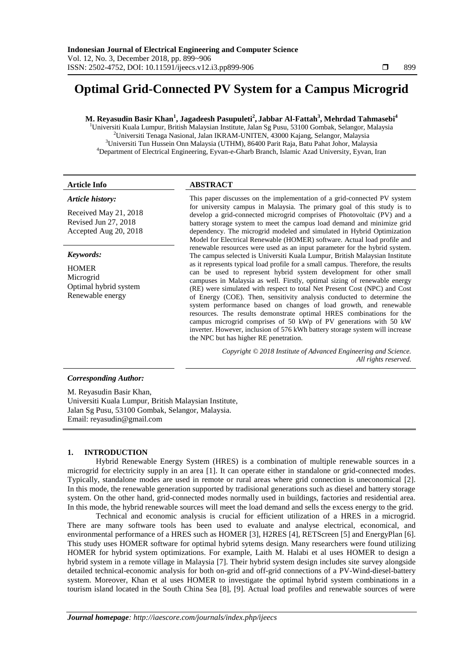# **Optimal Grid-Connected PV System for a Campus Microgrid**

# **M. Reyasudin Basir Khan<sup>1</sup> , Jagadeesh Pasupuleti<sup>2</sup> , Jabbar Al-Fattah<sup>3</sup> , Mehrdad Tahmasebi<sup>4</sup>**

<sup>1</sup>Universiti Kuala Lumpur, British Malaysian Institute, Jalan Sg Pusu, 53100 Gombak, Selangor, Malaysia Universiti Tenaga Nasional, Jalan IKRAM-UNITEN, 43000 Kajang, Selangor, Malaysia Universiti Tun Hussein Onn Malaysia (UTHM), 86400 Parit Raja, Batu Pahat Johor, Malaysia Department of Electrical Engineering, Eyvan-e-Gharb Branch, Islamic Azad University, Eyvan, Iran

# **Article Info ABSTRACT**

*Article history:*

Received May 21, 2018 Revised Jun 27, 2018 Accepted Aug 20, 2018

# *Keywords:*

**HOMER** Microgrid Optimal hybrid system Renewable energy

This paper discusses on the implementation of a grid-connected PV system for university campus in Malaysia. The primary goal of this study is to develop a grid-connected microgrid comprises of Photovoltaic (PV) and a battery storage system to meet the campus load demand and minimize grid dependency. The microgrid modeled and simulated in Hybrid Optimization Model for Electrical Renewable (HOMER) software. Actual load profile and renewable resources were used as an input parameter for the hybrid system. The campus selected is Universiti Kuala Lumpur, British Malaysian Institute as it represents typical load profile for a small campus. Therefore, the results can be used to represent hybrid system development for other small campuses in Malaysia as well. Firstly, optimal sizing of renewable energy (RE) were simulated with respect to total Net Present Cost (NPC) and Cost of Energy (COE). Then, sensitivity analysis conducted to determine the system performance based on changes of load growth, and renewable resources. The results demonstrate optimal HRES combinations for the campus microgrid comprises of 50 kWp of PV generations with 50 kW inverter. However, inclusion of 576 kWh battery storage system will increase the NPC but has higher RE penetration.

> *Copyright © 2018 Institute of Advanced Engineering and Science. All rights reserved.*

# *Corresponding Author:*

M. Reyasudin Basir Khan, Universiti Kuala Lumpur, British Malaysian Institute, Jalan Sg Pusu, 53100 Gombak, Selangor, Malaysia. Email: reyasudin@gmail.com

# **1. INTRODUCTION**

Hybrid Renewable Energy System (HRES) is a combination of multiple renewable sources in a microgrid for electricity supply in an area [1]. It can operate either in standalone or grid-connected modes. Typically, standalone modes are used in remote or rural areas where grid connection is uneconomical [2]. In this mode, the renewable generation supported by tradisional generations such as diesel and battery storage system. On the other hand, grid-connected modes normally used in buildings, factories and residential area. In this mode, the hybrid renewable sources will meet the load demand and sells the excess energy to the grid.

Technical and economic analysis is crucial for efficient utilization of a HRES in a microgrid. There are many software tools has been used to evaluate and analyse electrical, economical, and environmental performance of a HRES such as HOMER [3], H2RES [4], RETScreen [5] and EnergyPlan [6]. This study uses HOMER software for optimal hybrid sytems design. Many researchers were found utilizing HOMER for hybrid system optimizations. For example, Laith M. Halabi et al uses HOMER to design a hybrid system in a remote village in Malaysia [7]. Their hybrid system design includes site survey alongside detailed technical-economic analysis for both on-grid and off-grid connections of a PV-Wind-diesel-battery system. Moreover, Khan et al uses HOMER to investigate the optimal hybrid system combinations in a tourism island located in the South China Sea [8], [9]. Actual load profiles and renewable sources of were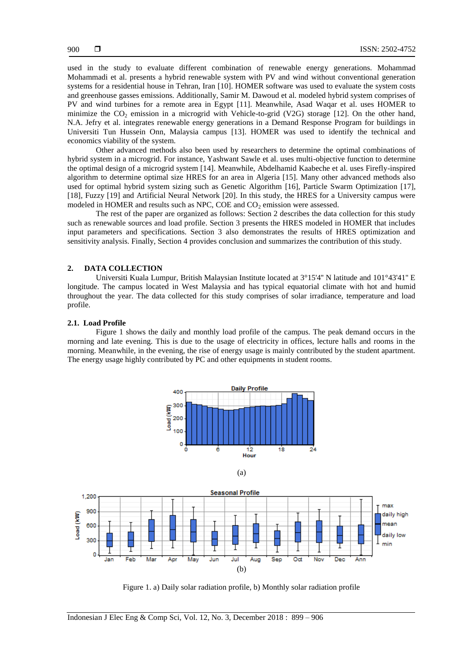used in the study to evaluate different combination of renewable energy generations. Mohammad Mohammadi et al. presents a hybrid renewable system with PV and wind without conventional generation systems for a residential house in Tehran, Iran [10]. HOMER software was used to evaluate the system costs and greenhouse gasses emissions. Additionally, Samir M. Dawoud et al. modeled hybrid system comprises of PV and wind turbines for a remote area in Egypt [11]. Meanwhile, Asad Waqar et al. uses HOMER to minimize the  $CO<sub>2</sub>$  emission in a microgrid with Vehicle-to-grid (V2G) storage [12]. On the other hand, N.A. Jefry et al. integrates renewable energy generations in a Demand Response Program for buildings in Universiti Tun Hussein Onn, Malaysia campus [13]. HOMER was used to identify the technical and economics viability of the system.

Other advanced methods also been used by researchers to determine the optimal combinations of hybrid system in a microgrid. For instance, Yashwant Sawle et al. uses multi-objective function to determine the optimal design of a microgrid system [14]. Meanwhile, Abdelhamid Kaabeche et al. uses Firefly-inspired algorithm to determine optimal size HRES for an area in Algeria [15]. Many other advanced methods also used for optimal hybrid system sizing such as Genetic Algorithm [16], Particle Swarm Optimization [17], [18], Fuzzy [19] and Artificial Neural Network [20]. In this study, the HRES for a University campus were modeled in HOMER and results such as NPC, COE and  $CO<sub>2</sub>$  emission were assessed.

The rest of the paper are organized as follows: Section 2 describes the data collection for this study such as renewable sources and load profile. Section 3 presents the HRES modeled in HOMER that includes input parameters and specifications. Section 3 also demonstrates the results of HRES optimization and sensitivity analysis. Finally, Section 4 provides conclusion and summarizes the contribution of this study.

#### **2. DATA COLLECTION**

Universiti Kuala Lumpur, British Malaysian Institute located at 3°15'4'' N latitude and 101°43'41'' E longitude. The campus located in West Malaysia and has typical equatorial climate with hot and humid throughout the year. The data collected for this study comprises of solar irradiance, temperature and load profile.

#### **2.1. Load Profile**

Figure 1 shows the daily and monthly load profile of the campus. The peak demand occurs in the morning and late evening. This is due to the usage of electricity in offices, lecture halls and rooms in the morning. Meanwhile, in the evening, the rise of energy usage is mainly contributed by the student apartment. The energy usage highly contributed by PC and other equipments in student rooms.



(a)



Figure 1. a) Daily solar radiation profile, b) Monthly solar radiation profile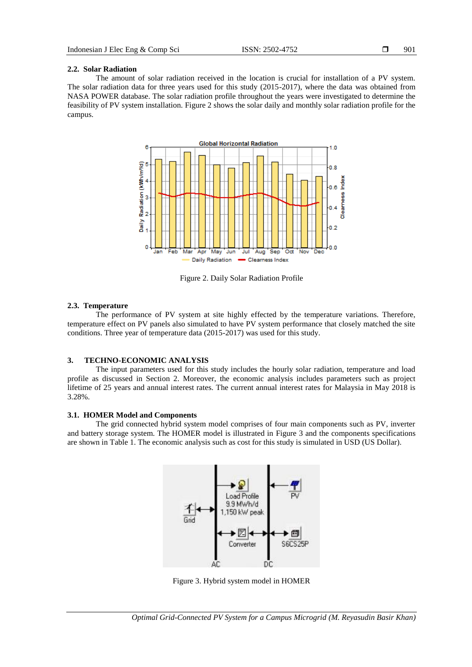#### **2.2. Solar Radiation**

The amount of solar radiation received in the location is crucial for installation of a PV system. The solar radiation data for three years used for this study (2015-2017), where the data was obtained from NASA POWER database. The solar radiation profile throughout the years were investigated to determine the feasibility of PV system installation. Figure 2 shows the solar daily and monthly solar radiation profile for the campus.



Figure 2. Daily Solar Radiation Profile

## **2.3. Temperature**

The performance of PV system at site highly effected by the temperature variations. Therefore, temperature effect on PV panels also simulated to have PV system performance that closely matched the site conditions. Three year of temperature data (2015-2017) was used for this study.

# **3. TECHNO-ECONOMIC ANALYSIS**

The input parameters used for this study includes the hourly solar radiation, temperature and load profile as discussed in Section 2. Moreover, the economic analysis includes parameters such as project lifetime of 25 years and annual interest rates. The current annual interest rates for Malaysia in May 2018 is 3.28%.

# **3.1. HOMER Model and Components**

The grid connected hybrid system model comprises of four main components such as PV, inverter and battery storage system. The HOMER model is illustrated in Figure 3 and the components specifications are shown in Table 1. The economic analysis such as cost for this study is simulated in USD (US Dollar).



Figure 3. Hybrid system model in HOMER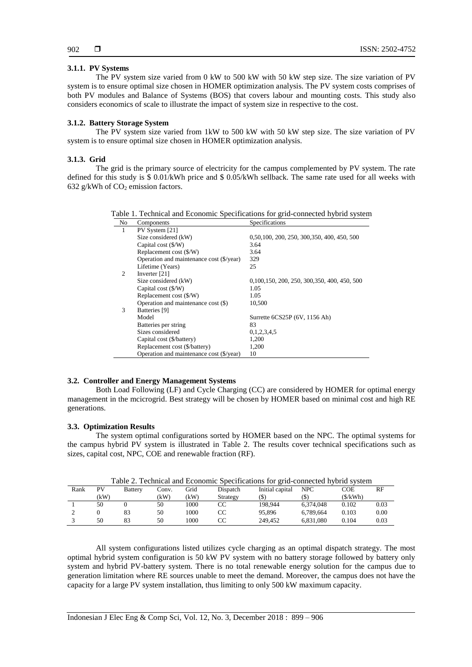# **3.1.1. PV Systems**

The PV system size varied from 0 kW to 500 kW with 50 kW step size. The size variation of PV system is to ensure optimal size chosen in HOMER optimization analysis. The PV system costs comprises of both PV modules and Balance of Systems (BOS) that covers labour and mounting costs. This study also considers economics of scale to illustrate the impact of system size in respective to the cost.

#### **3.1.2. Battery Storage System**

The PV system size varied from 1kW to 500 kW with 50 kW step size. The size variation of PV system is to ensure optimal size chosen in HOMER optimization analysis.

#### **3.1.3. Grid**

The grid is the primary source of electricity for the campus complemented by PV system. The rate defined for this study is \$ 0.01/kWh price and \$ 0.05/kWh sellback. The same rate used for all weeks with 632 g/kWh of  $CO<sub>2</sub>$  emission factors.

| No             | Components                               | Specifications                               |
|----------------|------------------------------------------|----------------------------------------------|
| 1              | PV System [21]                           |                                              |
|                | Size considered (kW)                     | 0,50,100, 200, 250, 300, 350, 400, 450, 500  |
|                | Capital cost $(\frac{C}{W})$             | 3.64                                         |
|                | Replacement cost (\$/W)                  | 3.64                                         |
|                | Operation and maintenance cost (\$/year) | 329                                          |
|                | Lifetime (Years)                         | 25                                           |
| $\overline{c}$ | Inverter $[21]$                          |                                              |
|                | Size considered (kW)                     | 0,100,150, 200, 250, 300, 350, 400, 450, 500 |
|                | Capital cost $(\frac{C}{W})$             | 1.05                                         |
|                | Replacement cost (\$/W)                  | 1.05                                         |
|                | Operation and maintenance cost (\$)      | 10,500                                       |
| 3              | Batteries [9]                            |                                              |
|                | Model                                    | Surrette 6CS25P (6V, 1156 Ah)                |
|                | Batteries per string                     | 83                                           |
|                | Sizes considered                         | 0,1,2,3,4,5                                  |
|                | Capital cost (\$/battery)                | 1,200                                        |
|                | Replacement cost (\$/battery)            | 1,200                                        |
|                | Operation and maintenance cost (\$/year) | 10                                           |

# **3.2. Controller and Energy Management Systems**

Both Load Following (LF) and Cycle Charging (CC) are considered by HOMER for optimal energy management in the mcicrogrid. Best strategy will be chosen by HOMER based on minimal cost and high RE generations.

## **3.3. Optimization Results**

The system optimal configurations sorted by HOMER based on the NPC. The optimal systems for the campus hybrid PV system is illustrated in Table 2. The results cover technical specifications such as sizes, capital cost, NPC, COE and renewable fraction (RF).

| Table 2. Technical and Economic Specifications for grid-connected hybrid system |      |                |       |      |          |                 |            |         |      |
|---------------------------------------------------------------------------------|------|----------------|-------|------|----------|-----------------|------------|---------|------|
| Rank                                                                            | PV   | <b>Battery</b> | Conv. | Grid | Dispatch | Initial capital | <b>NPC</b> | COE     | RF   |
|                                                                                 | (kW) |                | (kW)  | (kW) | Strategy | (\$)            | (S)        | (S/kWh) |      |
|                                                                                 | 50   |                | 50    | 1000 | CC       | 198.944         | 6.374.048  | 0.102   | 0.03 |
|                                                                                 |      | 83             | 50    | 1000 | CC       | 95.896          | 6.789.664  | 0.103   | 0.00 |
|                                                                                 | 50   | 83             | 50    | 1000 |          | 249.452         | 6.831.080  | 0.104   | 0.03 |

All system configurations listed utilizes cycle charging as an optimal dispatch strategy. The most optimal hybrid system configuration is 50 kW PV system with no battery storage followed by battery only system and hybrid PV-battery system. There is no total renewable energy solution for the campus due to generation limitation where RE sources unable to meet the demand. Moreover, the campus does not have the capacity for a large PV system installation, thus limiting to only 500 kW maximum capacity.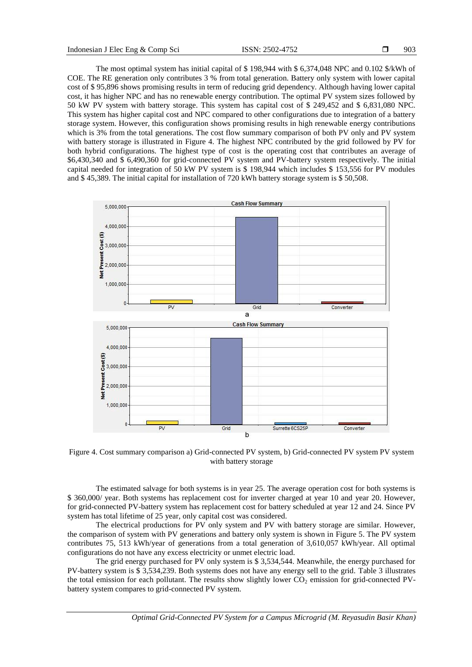The most optimal system has initial capital of \$ 198,944 with \$ 6,374,048 NPC and 0.102 \$/kWh of COE. The RE generation only contributes 3 % from total generation. Battery only system with lower capital cost of \$ 95,896 shows promising results in term of reducing grid dependency. Although having lower capital cost, it has higher NPC and has no renewable energy contribution. The optimal PV system sizes followed by 50 kW PV system with battery storage. This system has capital cost of \$ 249,452 and \$ 6,831,080 NPC. This system has higher capital cost and NPC compared to other configurations due to integration of a battery storage system. However, this configuration shows promising results in high renewable energy contributions which is 3% from the total generations. The cost flow summary comparison of both PV only and PV system with battery storage is illustrated in Figure 4. The highest NPC contributed by the grid followed by PV for both hybrid configurations. The highest type of cost is the operating cost that contributes an average of \$6,430,340 and \$ 6,490,360 for grid-connected PV system and PV-battery system respectively. The initial capital needed for integration of 50 kW PV system is \$ 198,944 which includes \$ 153,556 for PV modules and \$ 45,389. The initial capital for installation of 720 kWh battery storage system is \$ 50,508.



Figure 4. Cost summary comparison a) Grid-connected PV system, b) Grid-connected PV system PV system with battery storage

The estimated salvage for both systems is in year 25. The average operation cost for both systems is \$ 360,000/ year. Both systems has replacement cost for inverter charged at year 10 and year 20. However, for grid-connected PV-battery system has replacement cost for battery scheduled at year 12 and 24. Since PV system has total lifetime of 25 year, only capital cost was considered.

The electrical productions for PV only system and PV with battery storage are similar. However, the comparison of system with PV generations and battery only system is shown in Figure 5. The PV system contributes 75, 513 kWh/year of generations from a total generation of 3,610,057 kWh/year. All optimal configurations do not have any excess electricity or unmet electric load.

The grid energy purchased for PV only system is \$ 3,534,544. Meanwhile, the energy purchased for PV-battery system is \$ 3,534,239. Both systems does not have any energy sell to the grid. Table 3 illustrates the total emission for each pollutant. The results show slightly lower  $CO<sub>2</sub>$  emission for grid-connected PVbattery system compares to grid-connected PV system.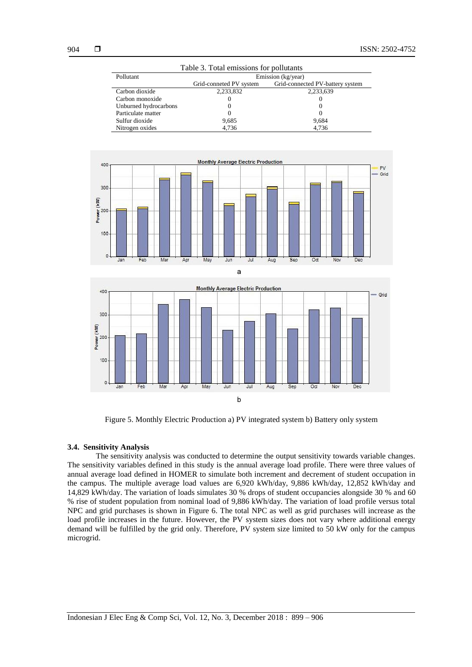| Table 3. Total emissions for pollutants |                         |                                  |  |  |  |  |
|-----------------------------------------|-------------------------|----------------------------------|--|--|--|--|
| Pollutant                               | Emission (kg/year)      |                                  |  |  |  |  |
|                                         | Grid-conneted PV system | Grid-connected PV-battery system |  |  |  |  |
| Carbon dioxide                          | 2,233,832               | 2,233,639                        |  |  |  |  |
| Carbon monoxide                         |                         | $\Omega$                         |  |  |  |  |
| Unburned hydrocarbons                   |                         |                                  |  |  |  |  |
| Particulate matter                      |                         |                                  |  |  |  |  |
| Sulfur dioxide                          | 9,685                   | 9,684                            |  |  |  |  |
| Nitrogen oxides                         | 4.736                   | 4,736                            |  |  |  |  |





Figure 5. Monthly Electric Production a) PV integrated system b) Battery only system

# **3.4. Sensitivity Analysis**

The sensitivity analysis was conducted to determine the output sensitivity towards variable changes. The sensitivity variables defined in this study is the annual average load profile. There were three values of annual average load defined in HOMER to simulate both increment and decrement of student occupation in the campus. The multiple average load values are 6,920 kWh/day, 9,886 kWh/day, 12,852 kWh/day and 14,829 kWh/day. The variation of loads simulates 30 % drops of student occupancies alongside 30 % and 60 % rise of student population from nominal load of 9,886 kWh/day. The variation of load profile versus total NPC and grid purchases is shown in Figure 6. The total NPC as well as grid purchases will increase as the load profile increases in the future. However, the PV system sizes does not vary where additional energy demand will be fulfilled by the grid only. Therefore, PV system size limited to 50 kW only for the campus microgrid.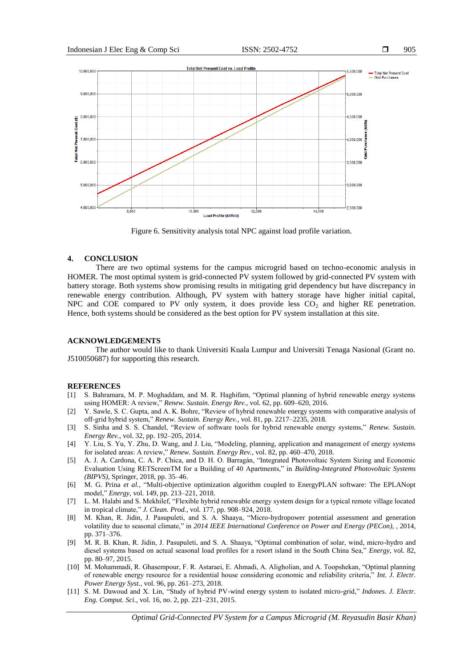905



Figure 6. Sensitivity analysis total NPC against load profile variation.

# **4. CONCLUSION**

There are two optimal systems for the campus microgrid based on techno-economic analysis in HOMER. The most optimal system is grid-connected PV system followed by grid-connected PV system with battery storage. Both systems show promising results in mitigating grid dependency but have discrepancy in renewable energy contribution. Although, PV system with battery storage have higher initial capital, NPC and COE compared to PV only system, it does provide less  $CO<sub>2</sub>$  and higher RE penetration. Hence, both systems should be considered as the best option for PV system installation at this site.

# **ACKNOWLEDGEMENTS**

The author would like to thank Universiti Kuala Lumpur and Universiti Tenaga Nasional (Grant no. J510050687) for supporting this research.

# **REFERENCES**

- [1] S. Bahramara, M. P. Moghaddam, and M. R. Haghifam, "Optimal planning of hybrid renewable energy systems using HOMER: A review," *Renew. Sustain. Energy Rev.*, vol. 62, pp. 609–620, 2016.
- [2] Y. Sawle, S. C. Gupta, and A. K. Bohre, "Review of hybrid renewable energy systems with comparative analysis of off-grid hybrid system," *Renew. Sustain. Energy Rev.*, vol. 81, pp. 2217–2235, 2018.
- [3] S. Sinha and S. S. Chandel, "Review of software tools for hybrid renewable energy systems," *Renew. Sustain. Energy Rev.*, vol. 32, pp. 192–205, 2014.
- [4] Y. Liu, S. Yu, Y. Zhu, D. Wang, and J. Liu, "Modeling, planning, application and management of energy systems for isolated areas: A review," *Renew. Sustain. Energy Rev.*, vol. 82, pp. 460–470, 2018.
- [5] A. J. A. Cardona, C. A. P. Chica, and D. H. O. Barragán, "Integrated Photovoltaic System Sizing and Economic Evaluation Using RETScreenTM for a Building of 40 Apartments," in *Building-Integrated Photovoltaic Systems (BIPVS)*, Springer, 2018, pp. 35–46.
- [6] M. G. Prina *et al.*, "Multi-objective optimization algorithm coupled to EnergyPLAN software: The EPLANopt model," *Energy*, vol. 149, pp. 213–221, 2018.
- [7] L. M. Halabi and S. Mekhilef, "Flexible hybrid renewable energy system design for a typical remote village located in tropical climate," *J. Clean. Prod.*, vol. 177, pp. 908–924, 2018.
- [8] M. Khan, R. Jidin, J. Pasupuleti, and S. A. Shaaya, "Micro-hydropower potential assessment and generation volatility due to seasonal climate," in *2014 IEEE International Conference on Power and Energy (PECon),* , 2014, pp. 371–376.
- [9] M. R. B. Khan, R. Jidin, J. Pasupuleti, and S. A. Shaaya, "Optimal combination of solar, wind, micro-hydro and diesel systems based on actual seasonal load profiles for a resort island in the South China Sea," *Energy*, vol. 82, pp. 80–97, 2015.
- [10] M. Mohammadi, R. Ghasempour, F. R. Astaraei, E. Ahmadi, A. Aligholian, and A. Toopshekan, "Optimal planning of renewable energy resource for a residential house considering economic and reliability criteria," *Int. J. Electr. Power Energy Syst.*, vol. 96, pp. 261–273, 2018.
- [11] S. M. Dawoud and X. Lin, "Study of hybrid PV-wind energy system to isolated micro-grid," *Indones. J. Electr. Eng. Comput. Sci.*, vol. 16, no. 2, pp. 221–231, 2015.